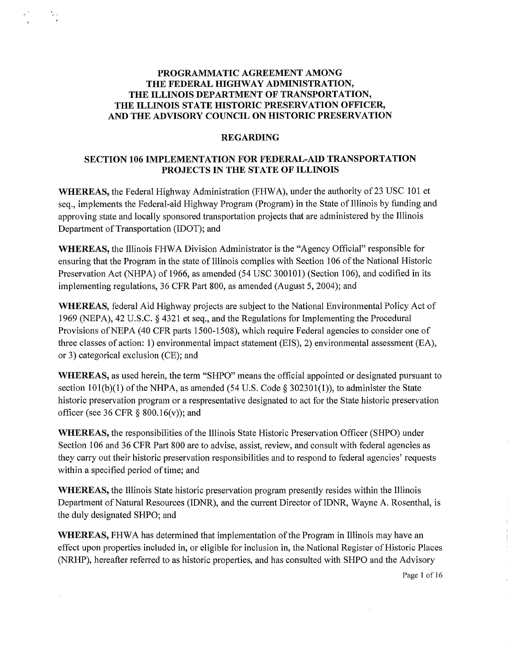## **PROGRAMMATIC AGREEMENT AMONG THE FEDERAL HIGHWAY ADMINISTRATION, THE ILLINOIS DEPARTMENT OF TRANSPORTATION, THE ILLINOIS STATE HISTORIC PRESERVATION OFFICER, AND THE ADVISORY COUNCIL ON HISTORIC PRESERVATION**

#### **REGARDING**

## **SECTION 106 IMPLEMENTATION FOR FEDERAL-AID TRANSPORTATION PROJECTS IN THE STATE OF ILLINOIS**

**WHEREAS, the Federal Highway Administration (FHWA), under the authority of 23 USC 101 et** seq., implements the Federal-aid Highway Program (Program) in the State of Illinois by funding and approving state and locally sponsored transportation projects that are administered by the Illinois Department of Transportation (IDOT); and

**WHEREAS,** the Illinois FHW A Division Administrator is the "Agency Official" responsible for ensuring that the Program in the state of Illinois complies with Section 106 of the National Historic Preservation Act (NHPA) of 1966, as amended (54 USC 300101) (Section 106), and codified in its implementing regulations, 36 CFR Part 800, as amended (August 5, 2004); and

**WHEREAS,** federal Aid Highway projects are subject to the National Environmental Policy Act of 1969 (NEPA), 42 U.S.C. § 4321 et seq., and the Regulations for Implementing the Procedural Provisions of NEPA (40 CFR parts 1500-1508), which require Federal agencies to consider one of three classes of action: 1) environmental impact statement (EIS), 2) environmental assessment (EA), or 3) categorical exclusion (CE); and

**WHEREAS,** as used herein, the term "SHPO" means the official appointed or designated pursuant to section  $101(b)(1)$  of the NHPA, as amended (54 U.S. Code § 302301(1)), to administer the State historic preservation program or a respresentative designated to act for the State historic preservation officer (see 36 CFR  $\S$  800.16(v)); and

**WHEREAS,** the responsibilities of the Illinois State Historic Preservation Officer (SHPO) under Section 106 and 36 CFR Part 800 are to advise, assist, review, and consult with federal agencies as they carry out their historic preservation responsibilities and to respond to federal agencies' requests within a specified period of time; and

**WHEREAS,** the Illinois State historic preservation program presently resides within the Illinois Department of Natural Resources (IDNR), and the current Director of IDNR, Wayne A. Rosenthal, is the duly designated SHPO; and

**WHEREAS,** FHWA has determined that implementation of the Program in Illinois may have an effect upon properties included in, or eligible for inclusion in, the National Register of Historic Places (NRHP), hereafter referred to as historic properties, and has consulted with SHPO and the Advisory

Page 1 of 16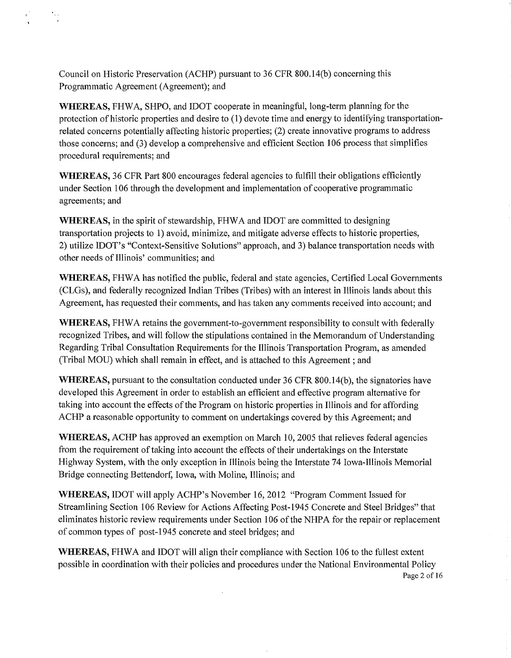Council on Historic Preservation (ACHP) pursuant to 36 CPR 800.14(b) concerning this Programmatic Agreement (Agreement); and

**WHEREAS,** PHW A, SHPO, and IDOT cooperate in meaningful, long-term planning for the protection of historic properties and desire to ( 1) devote time and energy to identifying transportationrelated concerns potentially affecting historic properties; (2) create innovative programs to address those concerns; and (3) develop a comprehensive and efficient Section 106 process that simplifies procedural requirements; and

**WHEREAS,** 36 CPR Part 800 encourages federal agencies to fulfill their obligations efficiently under Section 106 through the development and implementation of cooperative programmatic agreements; and

**WHEREAS,** in the spirit of stewardship, PHW A and IDOT are committed to designing transportation projects to 1) avoid, minimize, and mitigate adverse effects to historic properties, 2) utilize IDOT's "Context-Sensitive Solutions" approach, and 3) balance transportation needs with other needs of Illinois' communities; and

**WHEREAS,** PHW A has notified the public, federal and state agencies, Certified Local Governments (CLGs), and federally recognized Indian Tribes (Tribes) with an interest in Illinois lands about this Agreement, has requested their comments, and has taken any comments received into account; and

**WHEREAS,** FHWA retains the government-to-government responsibility to consult with federally recognized Tribes, and will follow the stipulations contained in the Memorandum of Understanding Regarding Tribal Consultation Requirements for the Illinois Transportation Program, as amended (Tribal MOU) which shall remain in effect, and is attached to this Agreement ; and

**WHEREAS,** pursuant to the consultation conducted under 36 CFR 800.14(b), the signatories have developed this Agreement in order to establish an efficient and effective program alternative for taking into account the effects of the Program on historic properties in Illinois and for affording ACHP a reasonable opportunity to comment on undertakings covered by this Agreement; and

**WHEREAS,** ACHP has approved an exemption on March 10, 2005 that relieves federal agencies from the requirement of taking into account the effects of their undertakings on the Interstate Highway System, with the only exception in Illinois being the Interstate 74 Iowa-Illinois Memorial Bridge connecting Bettendorf, Iowa, with Moline, Illinois; and

**WHEREAS,** IDOT will apply ACHP's November 16, 2012 "Program Comment Issued for Streamlining Section 106 Review for Actions Affecting Post-1945 Concrete and Steel Bridges" that eliminates historic review requirements under Section 106 of the NHPA for the repair or replacement of common types of post-1945 concrete and steel bridges; and

**WHEREAS,** PHW A and IDOT will align their compliance with Section 106 to the fullest extent possible in coordination with their policies and procedures under the National Environmental Policy Page 2 of 16

 $\ddot{\phantom{a}}$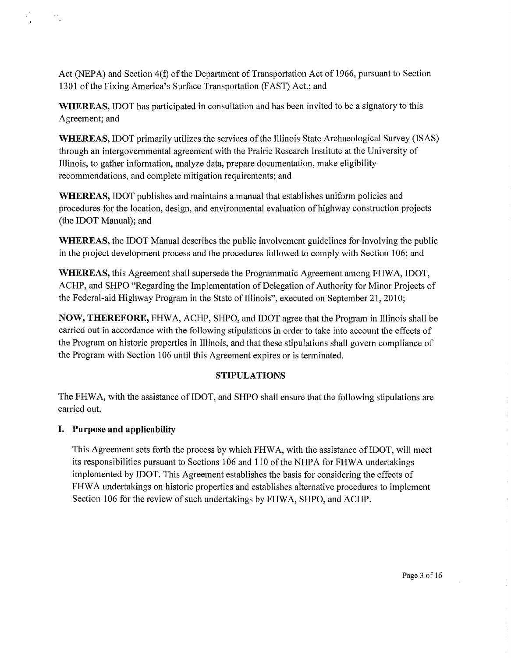Act (NEPA) and Section 4(f) of the Department of Transportation Act of 1966, pursuant to Section 1301 of the Fixing America's Surface Transportation (FAST) Act.; and

**WHEREAS,** IDOT has participated in consultation and has been invited to be a signatory to this Agreement; and

**WHEREAS,** IDOT primarily utilizes the services of the Illinois State Archaeological Survey (ISAS) through an intergovernmental agreement with the Prairie Research Institute at the University of Illinois, to gather information, analyze data, prepare documentation, make eligibility recommendations, and complete mitigation requirements; and

**WHEREAS,** IDOT publishes and maintains a manual that establishes uniform policies and procedures for the location, design, and environmental evaluation of highway construction projects (the IDOT Manual); and

**WHEREAS,** the IDOT Manual describes the public involvement guidelines for involving the public in the project development process and the procedures followed to comply with Section 106; and

**WHEREAS,** this Agreement shall supersede the Programmatic Agreement among FHW A, IDOT, ACHP, and SHPO "Regarding the Implementation of Delegation of Authority for Minor Projects of the Federal-aid Highway Program in the State of Illinois", executed on September 21, 2010;

**NOW, THEREFORE,** FHW A, ACHP, SHPO, and IDOT agree that the Program in Illinois shall be carried out in accordance with the following stipulations in order to take into account the effects of the Program on historic properties in Illinois, and that these stipulations shall govern compliance of the Program with Section 106 until this Agreement expires or is terminated.

# **STIPULATIONS**

The FHW A, with the assistance of IDOT, and SHPO shall ensure that the following stipulations are carried out.

# **I. Purpose and applicability**

This Agreement sets forth the process by which FHWA, with the assistance of IDOT, will meet its responsibilities pursuant to Sections 106 and 110 of the NHPA for FHWA undertakings implemented by IDOT. This Agreement establishes the basis for considering the effects of FHWA undertakings on historic properties and establishes alternative procedures to implement Section 106 for the review of such undertakings by FHWA, SHPO, and ACHP.

Page 3 of 16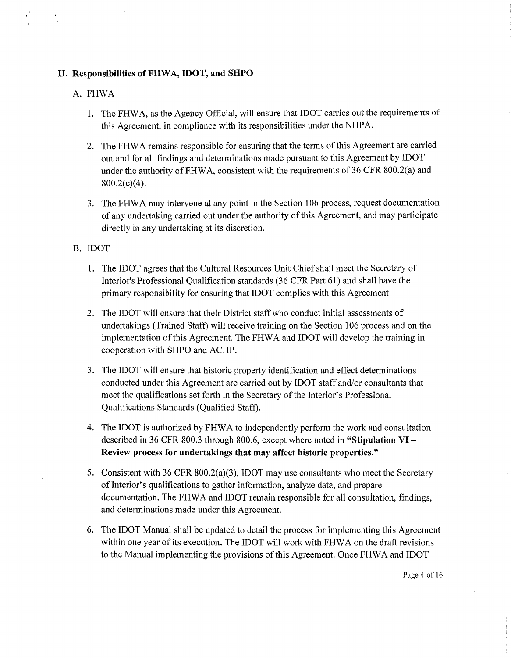## II. **Responsibilities ofFHWA, IDOT, and SHPO**

### A. FHWA

- 1. The FHW A, as the Agency Official, will ensure that IDOT carries out the requirements of this Agreement, in compliance with its responsibilities under the NHP A.
- 2. The FHWA remains responsible for ensuring that the terms of this Agreement are carried out and for all findings and determinations made pursuant to this Agreement by IDOT under the authority of FHWA, consistent with the requirements of 36 CFR 800.2(a) and 800.2(c)(4).
- 3. The FHWA may intervene at any point in the Section 106 process, request documentation of any undertaking carried out under the authority of this Agreement, and may participate directly in any undertaking at its discretion.

## B. IDOT

- 1. The IDOT agrees that the Cultural Resources Unit Chief shall meet the Secretary of Interior's Professional Qualification standards (36 CFR Part 61) and shall have the primary responsibility for ensuring that IDOT complies with this Agreement.
- 2. The IDOT will ensure that their District staff who conduct initial assessments of undertakings (Trained Staff) will receive training on the Section 106 process and on the implementation of this Agreement. The FHWA and IDOT will develop the training in cooperation with SHPO and ACHP.
- 3. The IDOT will ensure that historic property identification and effect determinations conducted under this Agreement are carried out by IDOT staff and/or consultants that meet the qualifications set forth in the Secretary of the Interior's Professional Qualifications Standards (Qualified Staff).
- 4. The IDOT is authorized by FHW A to independently perform the work and consultation described in 36 CFR 800.3 through 800.6, except where noted in **"Stipulation VI-Review process for undertakings that may affect historic properties."**
- 5. Consistent with 36 CFR 800.2(a)(3), IDOT may use consultants who meet the Secretary of Interior's qualifications to gather information, analyze data, and prepare documentation. The FHWA and IDOT remain responsible for all consultation, findings, and determinations made under this Agreement.
- 6. The IDOT Manual shall be updated to detail the process for implementing this Agreement within one year of its execution. The IDOT will work with FHWA on the draft revisions to the Manual implementing the provisions of this Agreement. Once FHWA and IDOT

Page 4 of 16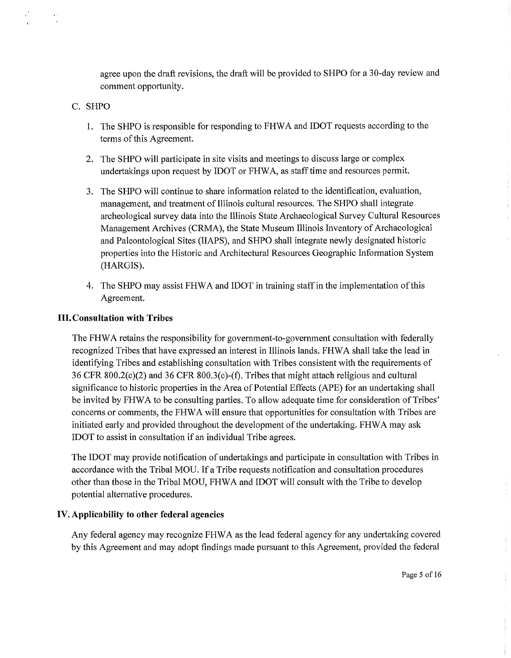agree upon the draft revisions, the draft will be provided to SHPO for a 30-day review and comment opportunity.

## C. SHPO

- 1. The SHPO is responsible for responding to FHW A and IDOT requests according to the terms of this Agreement.
- 2. The SHPO will participate in site visits and meetings to discuss large or complex undertakings upon request by IDOT or FHWA, as staff time and resources permit.
- 3. The SHPO will continue to share information related to the identification, evaluation, management, and treatment of Illinois cultural resources. The SHPO shall integrate archeological survey data into the Illinois State Archaeological Survey Cultural Resources Management Archives (CRMA), the State Museum Illinois Inventory of Archaeological and Paleontological Sites (HAPS), and SHPO shall integrate newly designated historic properties into the Historic and Architectural Resources Geographic Information System (HARGIS).
- 4. The SHPO may assist FHW A and IDOT in training staff in the implementation of this Agreement.

# III. **Consultation with Tribes**

The FHW A retains the responsibility for government-to-government consultation with federally recognized Tribes that have expressed an interest in Illinois lands. FHW A shall take the lead in identifying Tribes and establishing consultation with Tribes consistent with the requirements of 36 CFR 800.2(c)(2) and 36 CFR 800.3(c)-(f). Tribes that might attach religious and cultural significance to historic properties in the Area of Potential Effects (APE) for an undertaking shall be invited by FHWA to be consulting parties. To allow adequate time for consideration of Tribes' concerns or comments, the FHW A will ensure that opportunities for consultation with Tribes are initiated early and provided throughout the development of the undertaking. FHWA may ask IDOT to assist in consultation if an individual Tribe agrees.

The IDOT may provide notification of undertakings and participate in consultation with Tribes in accordance with the Tribal MOU. If a Tribe requests notification and consultation procedures other than those in the Tribal MOU, FHW A and IDOT will consult with the Tribe to develop potential alternative procedures.

### **IV. Applicability to other federal agencies**

Any federal agency may recognize FHWA as the lead federal agency for any undertaking covered by this Agreement and may adopt findings made pursuant to this Agreement, provided the federal

Page 5 of 16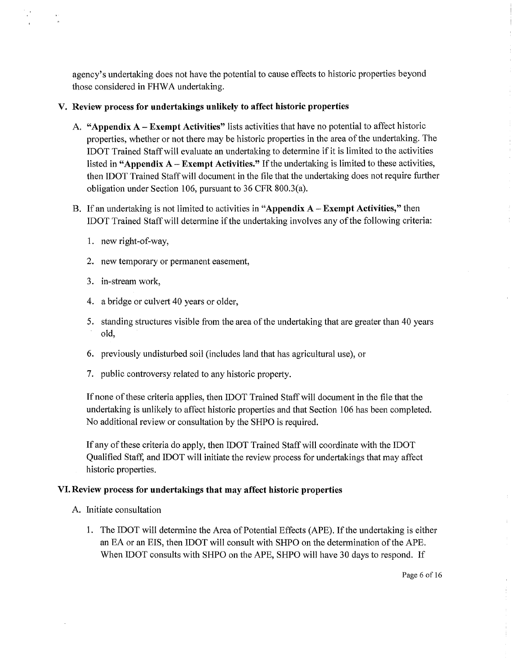agency's undertaking does not have the potential to cause effects to historic properties beyond those considered in FHWA undertaking.

## **V. Review process for undertakings unlikely to affect historic properties**

- A. **"Appendix A Exempt Activities"** lists activities that have no potential to affect historic properties, whether or not there may be historic properties in the area of the undertaking. The IDOT Trained Staff will evaluate an undertaking to determine if it is limited to the activities listed in **"Appendix A- Exempt Activities."** If the undertaking is limited to these activities, then IDOT Trained Staff will document in the file that the undertaking does not require further obligation under Section 106, pursuant to 36 CFR 800.3(a).
- B. If an undertaking is not limited to activities in **"Appendix A Exempt Activities,"** then IDOT Trained Staff will determine if the undertaking involves any of the following criteria:
	- 1. new right-of-way,
	- 2. new temporary or permanent easement,
	- 3. in-stream work,
	- 4. a bridge or culvert 40 years or older,
	- 5. standing structures visible from the area of the undertaking that are greater than 40 years old,
	- 6. previously undisturbed soil (includes land that has agricultural use), or
	- 7. public controversy related to any historic property.

If none of these criteria applies, then IDOT Trained Staff will document in the file that the undertaking is unlikely to affect historic properties and that Section 106 has been completed. No additional review or consultation by the SHPO is required.

If any of these criteria do apply, then IDOT Trained Staff will coordinate with the IDOT Qualified Staff, and IDOT will initiate the review process for undertakings that may affect historic properties.

# **VI. Review process for undertakings that may affect historic properties**

- A. Initiate consultation
	- 1. The IDOT will determine the Area of Potential Effects (APE). If the undertaking is either an EA or an EIS, then IDOT will consult with SHPO on the determination of the APE. When IDOT consults with SHPO on the APE, SHPO will have 30 days to respond. If

Page 6 of 16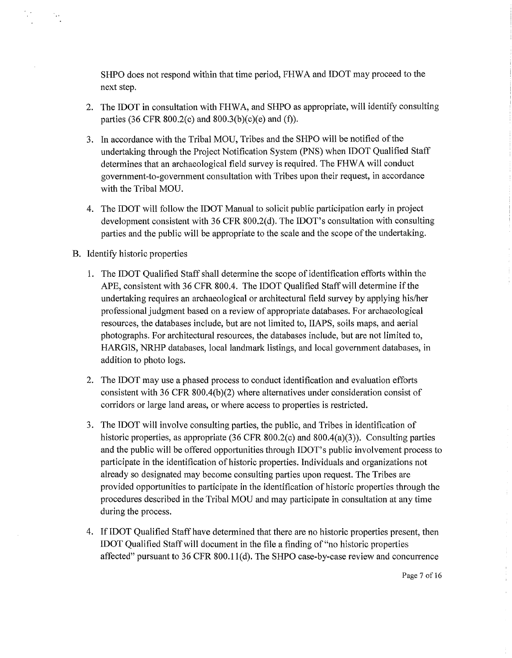SHPO does not respond within that time period, FHW A and IDOT may proceed to the next step.

- 2. The IDOT in consultation with FHWA, and SHPO as appropriate, will identify consulting parties (36 CFR 800.2(c) and 800.3(b)(c)(e) and (f)).
- 3. In accordance with the Tribal MOU, Tribes and the SHPO will be notified of the undertaking through the Project Notification System (PNS) when IDOT Qualified Staff determines that an archaeological field survey is required. The FHW A will conduct government-to-government consultation with Tribes upon their request, in accordance with the Tribal MOU.
- 4. The IDOT will follow the IDOT Manual to solicit public participation early in project development consistent with 36 CFR 800.2(d). The IDOT's consultation with consulting parties and the public will be appropriate to the scale and the scope of the undertaking.
- B. Identify historic properties
	- 1. The IDOT Qualified Staff shall determine the scope of identification efforts within the APE, consistent with 36 CFR 800.4. The IDOT Qualified Staff will determine if the undertaking requires an archaeological or architectural field survey by applying his/her professional judgment based on a review of appropriate databases. For archaeological resources, the databases include, but are not limited to, HAPS, soils maps, and aerial photographs. For architectural resources, the databases include, but are not limited to, HARGIS, NRHP databases, local landmark listings, and local government databases, in addition to photo logs.
	- 2. The IDOT may use a phased process to conduct identification and evaluation efforts consistent with 36 CFR 800.4(b)(2) where alternatives under consideration consist of corridors or large land areas, or where access to properties is restricted.
	- 3. The IDOT will involve consulting parties, the public, and Tribes in identification of historic properties, as appropriate (36 CFR 800.2(c) and 800.4(a)(3)). Consulting parties and the public will be offered opportunities through IDOT's public involvement process to participate in the identification of historic properties. Individuals and organizations not already so designated may become consulting parties upon request. The Tribes are provided opportunities to participate in the identification of historic properties through the procedures described in the Tribal MOU and may participate in consultation at any time during the process.
	- 4. If IDOT Qualified Staff have determined that there are no historic properties present, then IDOT Qualified Staff will document in the file a finding of "no historic properties affected" pursuant to 36 CFR 800.1 l(d). The SHPO case-by-case review and concurrence

Page 7 of 16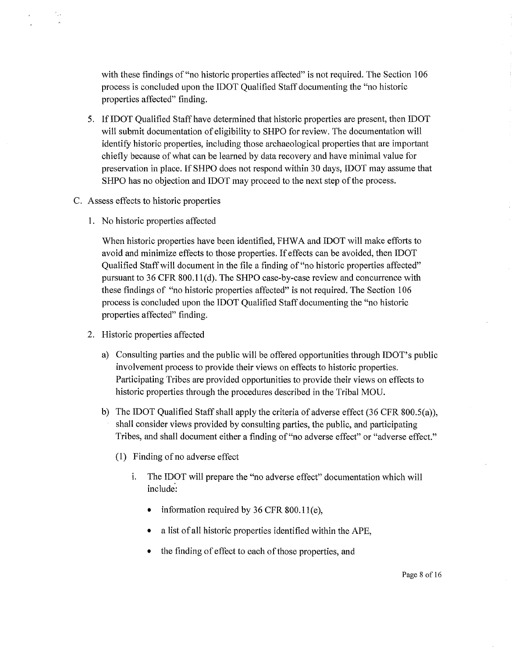with these findings of "no historic properties affected" is not required. The Section 106 process is concluded upon the IDOT Qualified Staff documenting the "no historic properties affected" finding.

- 5. If IDOT Qualified Staff have determined that historic properties are present, then IDOT will submit documentation of eligibility to SHPO for review. The documentation will identify historic properties, including those archaeological properties that are important chiefly because of what can be learned by data recovery and have minimal value for preservation in place. If SHPO does not respond within 30 days, IDOT may assume that SHPO has no objection and IDOT may proceed to the next step of the process.
- C. Assess effects to historic properties
	- 1. No historic properties affected

When historic properties have been identified, FHW A and IDOT will make efforts to avoid and minimize effects to those properties. If effects can be avoided, then IDOT Qualified Staff will document in the file a finding of "no historic properties affected" pursuant to 36 CFR 800.l l(d). The SHPO case-by-case review and concurrence with these findings of "no historic properties affected" is not required. The Section 106 process is concluded upon the IDOT Qualified Staff documenting the "no historic properties affected" finding.

- 2. Historic properties affected
	- a) Consulting parties and the public will be offered opportunities through IDOT's public involvement process to provide their views on effects to historic properties. Participating Tribes are provided opportunities to provide their views on effects to historic properties through the procedures described in the Tribal MOU.
	- b) The IDOT Qualified Staff shall apply the criteria of adverse effect  $(36 \text{ CFR } 800.5(a))$ , shall consider views provided by consulting parties, the public, and participating Tribes, and shall document either a finding of "no adverse effect" or "adverse effect."
		- (1) Finding of no adverse effect
			- i. The IDOT will prepare the "no adverse effect" documentation which will include:
				- information required by  $36$  CFR  $800.11(e)$ ,
				- a list of all historic properties identified within the APE,
				- the finding of effect to each of those properties, and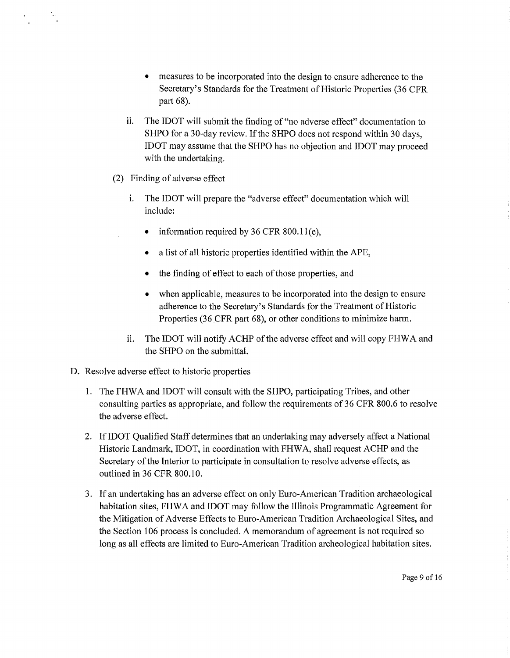- measures to be incorporated into the design to ensure adherence to the Secretary's Standards for the Treatment of Historic Properties (36 CPR part 68).
- ii. The IDOT will submit the finding of "no adverse effect" documentation to SHPO for a 30-day review. If the SHPO does not respond within 30 days, IDOT may assume that the SHPO has no objection and IDOT may proceed with the undertaking.
- (2) Finding of adverse effect
	- i. The IDOT will prepare the "adverse effect" documentation which will include:
		- information required by 36 CFR  $800.11(e)$ ,
		- a list of all historic properties identified within the APE,
		- the finding of effect to each of those properties, and
		- when applicable, measures to be incorporated into the design to ensure adherence to the Secretary's Standards for the Treatment of Historic Properties (36 CPR part 68), or other conditions to minimize harm.
	- ii. The IDOT will notify ACHP of the adverse effect and will copy FHWA and the SHPO on the submittal.
- D. Resolve adverse effect to historic properties
	- 1. The FHW A and IDOT will consult with the SHPO, participating Tribes, and other consulting parties as appropriate, and follow the requirements of 36 CPR 800.6 to resolve the adverse effect.
	- 2. If IDOT Qualified Staff determines that an undertaking may adversely affect a National Historic Landmark, IDOT, in coordination with FHW A, shall request ACHP and the Secretary of the Interior to participate in consultation to resolve adverse effects, as outlined in 36 CPR 800.10.
	- 3. If an undertaking has an adverse effect on only Euro-American Tradition archaeological habitation sites, FHWA and IDOT may follow the Illinois Programmatic Agreement for the Mitigation of Adverse Effects to Euro-American Tradition Archaeological Sites, and the Section 106 process is concluded. A memorandum of agreement is not required so long as all effects are limited to Euro-American Tradition archeological habitation sites.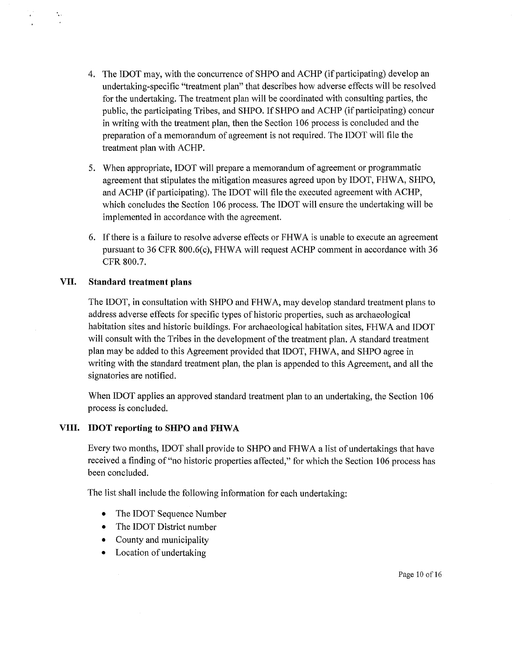- 4. The IDOT may, with the concurrence of SHPO and ACHP (if participating) develop an undertaking-specific "treatment plan" that describes how adverse effects will be resolved for the undertaking. The treatment plan will be coordinated with consulting parties, the public, the participating Tribes, and SHPO. If SHPO and ACHP (if participating) concur in writing with the treatment plan, then the Section 106 process is concluded and the preparation of a memorandum of agreement is not required. The IDOT will file the treatment plan with ACHP.
- 5. When appropriate, IDOT will prepare a memorandum of agreement or programmatic agreement that stipulates the mitigation measures agreed upon by IDOT, FHW A, SHPO, and ACHP (if participating). The IDOT will file the executed agreement with ACHP, which concludes the Section 106 process. The IDOT will ensure the undertaking will be implemented in accordance with the agreement.
- 6. If there is a failure to resolve adverse effects or FHWA is unable to execute an agreement pursuant to 36 CFR 800.6(c), FHWA will request ACHP comment in accordance with 36 CFR 800.7.

## **VII. Standard treatment plans**

 $\mathbf{r}_i$  .

The IDOT, in consultation with SHPO and FHW A, may develop standard treatment plans to address adverse effects for specific types of historic properties, such as archaeological habitation sites and historic buildings. For archaeological habitation sites, FHWA and IDOT will consult with the Tribes in the development of the treatment plan. A standard treatment plan may be added to this Agreement provided that IDOT, FHW A, and SHPO agree in writing with the standard treatment plan, the plan is appended to this Agreement, and all the signatories are notified.

When IDOT applies an approved standard treatment plan to an undertaking, the Section 106 process is concluded.

# VIII. **IDOT** reporting to SHPO and FHWA

Every two months, IDOT shall provide to SHPO and FHWA a list of undertakings that have received a finding of "no historic properties affected," for which the Section 106 process has been concluded.

The list shall include the following information for each undertaking:

- The IDOT Sequence Number
- The IDOT District number
- County and municipality
- Location of undertaking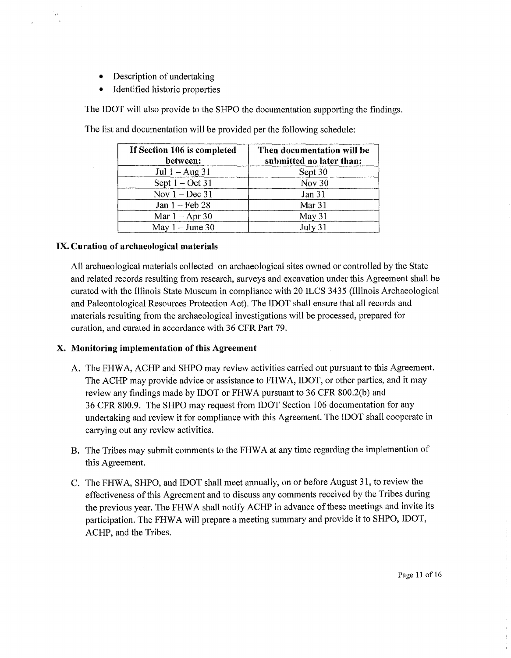- Description of undertaking
- Identified historic properties

The IDOT will also provide to the SHPO the documentation supporting the findings.

| If Section 106 is completed<br>between: | Then documentation will be<br>submitted no later than: |  |
|-----------------------------------------|--------------------------------------------------------|--|
| Jul $1 - Aug\ 31$                       | Sept 30                                                |  |
| Sept $1 - \text{Oct } 31$               | Nov 30                                                 |  |
| Nov $1 - Dec 31$                        | Jan 31                                                 |  |
| Jan $1 - \text{Feb } 28$                | Mar 31                                                 |  |
| Mar $1 -$ Apr 30                        | May 31                                                 |  |
| May $1 -$ June 30                       | July 31                                                |  |

The list and documentation will be provided per the following schedule:

# **IX. Curation of archaeological materials**

 $\bar{\lambda}$ 

All archaeological materials collected on archaeological sites owned or controlled by the State and related records resulting from research, surveys and excavation under this Agreement shall be curated with the Illinois State Museum in compliance with 20 ILCS 3435 (Illinois Archaeological and Paleontological Resources Protection Act). The IDOT shall ensure that all records and materials resulting from the archaeological investigations will be processed, prepared for curation, and curated in accordance with 36 CPR Part 79.

# **X. Monitoring implementation of this Agreement**

- A. The PHW A, ACHP and SHPO may review activities carried out pursuant to this Agreement. The ACHP may provide advice or assistance to FHWA, IDOT, or other parties, and it may review any findings made by IDOT or FHWA pursuant to 36 CFR 800.2(b) and 36 CPR 800.9. The SHPO may request from IDOT Section 106 documentation for any undertaking and review it for compliance with this Agreement. The IDOT shall cooperate in carrying out any review activities.
- B. The Tribes may submit comments to the PHW A at any time regarding the implemention of this Agreement.
- C. The PHW A, SHPO, and IDOT shall meet annually, on or before August 31, to review the effectiveness of this Agreement and to discuss any comments received by the Tribes during the previous year. The PHWA shall notify ACHP in advance of these meetings and invite its participation. The FHWA will prepare a meeting summary and provide it to SHPO, IDOT, ACHP, and the Tribes.

Page 11 of 16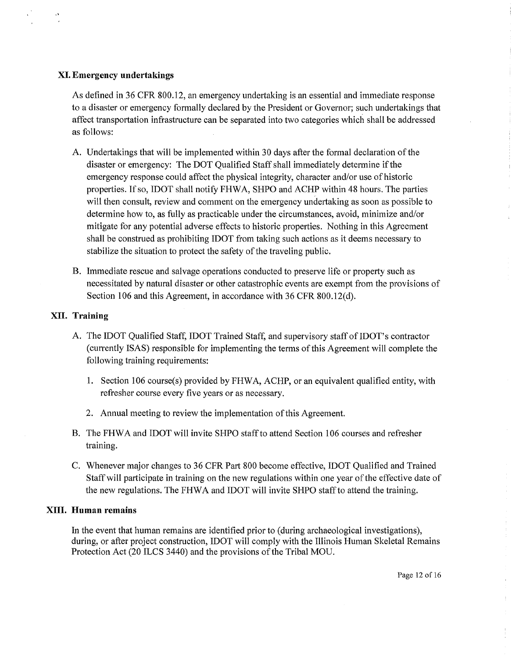### **XI. Emergency undertakings**

As defined in 36 CFR 800.12, an emergency undertaking is an essential and immediate response to a disaster or emergency formally declared by the President or Governor; such undertakings that affect transportation infrastructure can be separated into two categories which shall be addressed as follows:

- A. Undertakings that will be implemented within 30 days after the formal declaration of the disaster or emergency: The DOT Qualified Staff shall immediately determine if the emergency response could affect the physical integrity, character and/or use of historic properties. If so, IDOT shall notify FHWA, SHPO and ACHP within 48 hours. The parties will then consult, review and comment on the emergency undertaking as soon as possible to determine how to, as fully as practicable under the circumstances, avoid, minimize and/or mitigate for any potential adverse effects to historic properties. Nothing in this Agreement shall be construed as prohibiting IDOT from taking such actions as it deems necessary to stabilize the situation to protect the safety of the traveling public.
- B. Immediate rescue and salvage operations conducted to preserve life or property such as necessitated by natural disaster or other catastrophic events are exempt from the provisions of Section 106 and this Agreement, in accordance with 36 CFR 800.12(d).

#### **XII. Training**

- A. The IDOT Qualified Staff, IDOT Trained Staff, and supervisory staff of IDOT's contractor (currently ISAS) responsible for implementing the terms of this Agreement will complete the following training requirements:
	- 1. Section 106 course(s) provided by FHWA, ACHP, or an equivalent qualified entity, with refresher course every five years or as necessary.
	- 2. Annual meeting to review the implementation of this Agreement.
- B. The FHW A and IDOT will invite SHPO staff to attend Section 106 courses and refresher training.
- C. Whenever major changes to 36 CFR Part 800 become effective, IDOT Qualified and Trained Staff will participate in training on the new regulations within one year of the effective date of the new regulations. The FHWA and IDOT will invite SHPO staff to attend the training.

#### **XIII. Human remains**

In the event that human remains are identified prior to (during archaeological investigations), during, or after project construction, IDOT will comply with the Illinois Human Skeletal Remains Protection Act (20 ILCS 3440) and the provisions of the Tribal MOU.

Page 12 of 16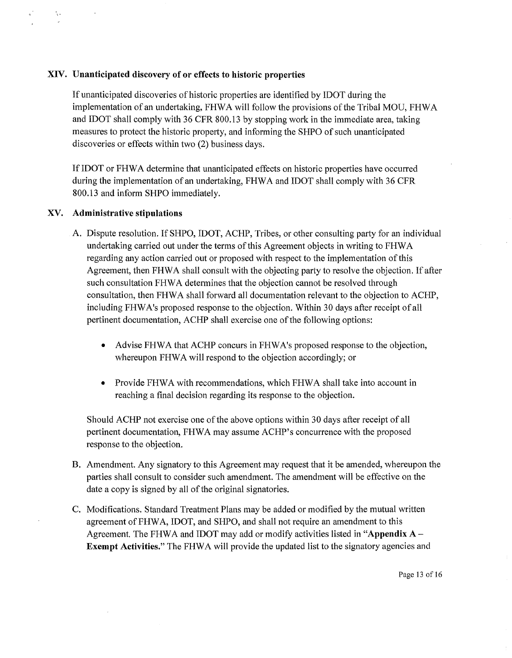### **XIV. Unanticipated discovery of or effects to historic properties**

If unanticipated discoveries of historic properties are identified by IDOT during the implementation of an undertaking, FHWA will follow the provisions of the Tribal MOU, FHWA and IDOT shall comply with 36 CPR 800.13 by stopping work in the immediate area, taking measures to protect the historic property, and informing the SHPO of such unanticipated discoveries or effects within two (2) business days.

If IDOT or FHWA determine that unanticipated effects on historic properties have occurred during the implementation of an undertaking, FHWA and IDOT shall comply with 36 CFR 800.13 and inform SHPO immediately.

#### **XV. Administrative stipulations**

 $\mathcal{L}_{\mathcal{L}}$ 

- A. Dispute resolution. If SHPO, IDOT, ACHP, Tribes, or other consulting party for an individual undertaking carried out under the terms of this Agreement objects in writing to PHWA regarding any action carried out or proposed with respect to the implementation of this Agreement, then FHWA shall consult with the objecting party to resolve the objection. If after such consultation FHWA determines that the objection cannot be resolved through consultation, then PHWA shall forward all documentation relevant to the objection to ACHP, including FHW A's proposed response to the objection. Within 30 days after receipt of all pertinent documentation, ACHP shall exercise one of the following options:
	- Advise FHWA that ACHP concurs in FHWA's proposed response to the objection, whereupon FHWA will respond to the objection accordingly; or
	- Provide FHWA with recommendations, which FHWA shall take into account in reaching a final decision regarding its response to the objection.

Should ACHP not exercise one of the above options within 30 days after receipt of all pertinent documentation, PHWA may assume ACHP's concurrence with the proposed response to the objection.

- B. Amendment. Any signatory to this Agreement may request that it be amended, whereupon the parties shall consult to consider such amendment. The amendment will be effective on the date a copy is signed by all of the original signatories.
- C. Modifications. Standard Treatment Plans may be added or modified by the mutual written agreement of FHWA, IDOT, and SHPO, and shall not require an amendment to this Agreement. The FHW A and IDOT may add or modify activities listed in **"Appendix A** - **Exempt Activities."** The FHWA will provide the updated list to the signatory agencies and

Page 13 of 16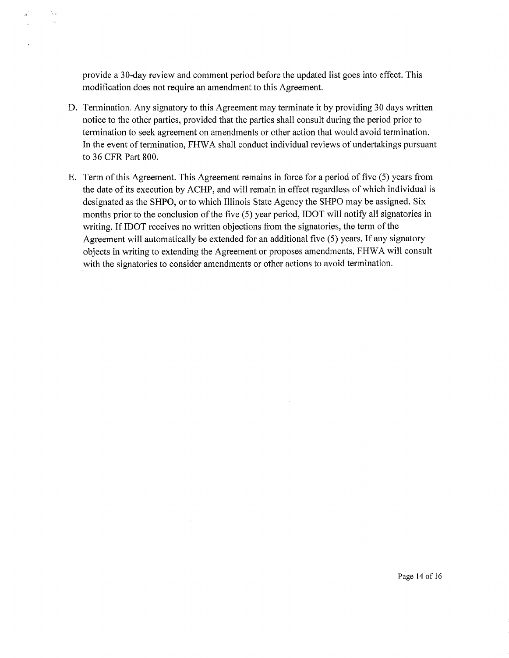provide a 30-day review and comment period before the updated list goes into effect. This modification does not require an amendment to this Agreement.

N.

- D. Termination. Any signatory to this Agreement may terminate it by providing 30 days written notice to the other parties, provided that the parties shall consult during the period prior to termination to seek agreement on amendments or other action that would avoid termination. In the event of termination, FHWA shall conduct individual reviews of undertakings pursuant to 36 CFR Part 800.
- E. Term of this Agreement. This Agreement remains in force for a period of five (5) years from the date of its execution by ACHP, and will remain in effect regardless of which individual is designated as the SHPO, or to which Illinois State Agency the SHPO may be assigned. Six months prior to the conclusion of the five (5) year period, IDOT will notify all signatories in writing. If IDOT receives no written objections from the signatories, the term of the Agreement will automatically be extended for an additional five (5) years. If any signatory objects in writing to extending the Agreement or proposes amendments, FHW A will consult with the signatories to consider amendments or other actions to avoid termination.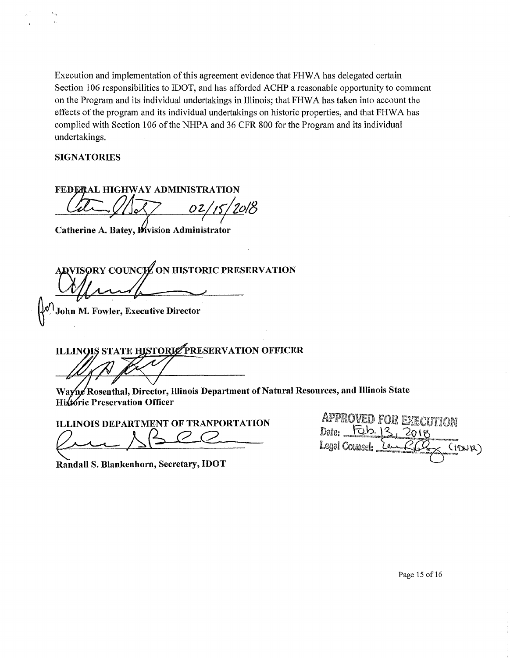Execution and implementation of this agreement evidence that FHWA has delegated certain Section 106 responsibilities to IDOT, and has afforded ACHP a reasonable opportunity to comment on the Program and its individual undertakings in Illinois; that FHW A has taken into account the effects of the program and its individual undertakings on historic properties, and that FHW A has complied with Section 106 of the NHPA and 36 CFR 800 for the Program and its individual undertakings.

## **SIGNATORIES**

**FEDERAL HIGHWAY ADMINISTRATION**  $ul\_1s/2018$ 

**Catherine A. Batey, Division Administrator** 

**RESERVATION**<br> **ANGLE OF A COUNCIL ON HISTORIC PRESERVATION**<br> **John M. Fowler, Executive Director** 

**STATE HISTORIZ PRESERVATION OFFICER ILLINOI** 

**<sup>11</sup>Rosenthal, Director, Illinois Department of Natural Resources, and Illinois State Historic Preservation Officer** 

**ILLINOIS DEPARTMENT OF TRANPORTATION**   $\ell$ 

**Randall S. Blankenhorn, Secretary, IDOT** 

|                         | PROVED FOR EXECUTION |        |
|-------------------------|----------------------|--------|
| <u> UD. 13</u><br>Date: |                      |        |
| Legal Counsel:          |                      | (IDNR) |
|                         |                      |        |

Page 15 of 16